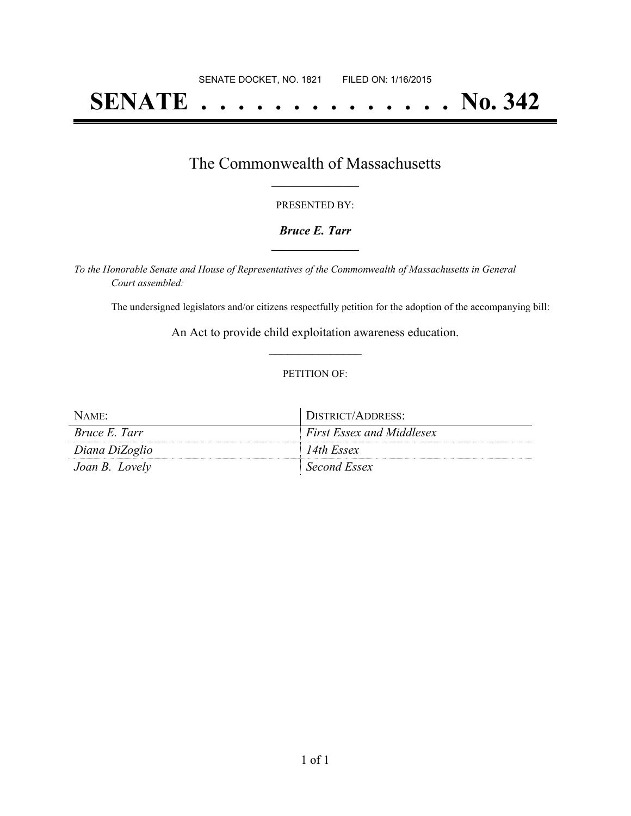# **SENATE . . . . . . . . . . . . . . No. 342**

## The Commonwealth of Massachusetts **\_\_\_\_\_\_\_\_\_\_\_\_\_\_\_\_\_**

#### PRESENTED BY:

#### *Bruce E. Tarr* **\_\_\_\_\_\_\_\_\_\_\_\_\_\_\_\_\_**

*To the Honorable Senate and House of Representatives of the Commonwealth of Massachusetts in General Court assembled:*

The undersigned legislators and/or citizens respectfully petition for the adoption of the accompanying bill:

An Act to provide child exploitation awareness education. **\_\_\_\_\_\_\_\_\_\_\_\_\_\_\_**

#### PETITION OF:

| NAME:                | DISTRICT/ADDRESS:                |
|----------------------|----------------------------------|
| <i>Bruce E. Tarr</i> | <i>First Essex and Middlesex</i> |
| Diana DiZoglio       | 14th Essex                       |
| Joan B. Lovely       | Second Essex                     |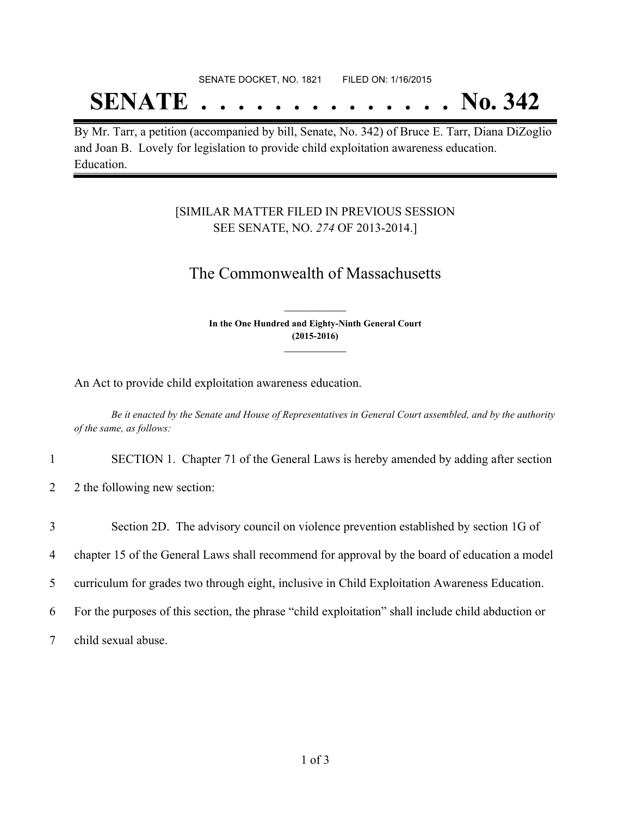# SENATE DOCKET, NO. 1821 FILED ON: 1/16/2015

# **SENATE . . . . . . . . . . . . . . No. 342**

By Mr. Tarr, a petition (accompanied by bill, Senate, No. 342) of Bruce E. Tarr, Diana DiZoglio and Joan B. Lovely for legislation to provide child exploitation awareness education. Education.

### [SIMILAR MATTER FILED IN PREVIOUS SESSION SEE SENATE, NO. *274* OF 2013-2014.]

## The Commonwealth of Massachusetts

**In the One Hundred and Eighty-Ninth General Court (2015-2016) \_\_\_\_\_\_\_\_\_\_\_\_\_\_\_**

**\_\_\_\_\_\_\_\_\_\_\_\_\_\_\_**

An Act to provide child exploitation awareness education.

Be it enacted by the Senate and House of Representatives in General Court assembled, and by the authority *of the same, as follows:*

1 SECTION 1. Chapter 71 of the General Laws is hereby amended by adding after section

2 2 the following new section:

 Section 2D. The advisory council on violence prevention established by section 1G of chapter 15 of the General Laws shall recommend for approval by the board of education a model curriculum for grades two through eight, inclusive in Child Exploitation Awareness Education. For the purposes of this section, the phrase "child exploitation" shall include child abduction or child sexual abuse.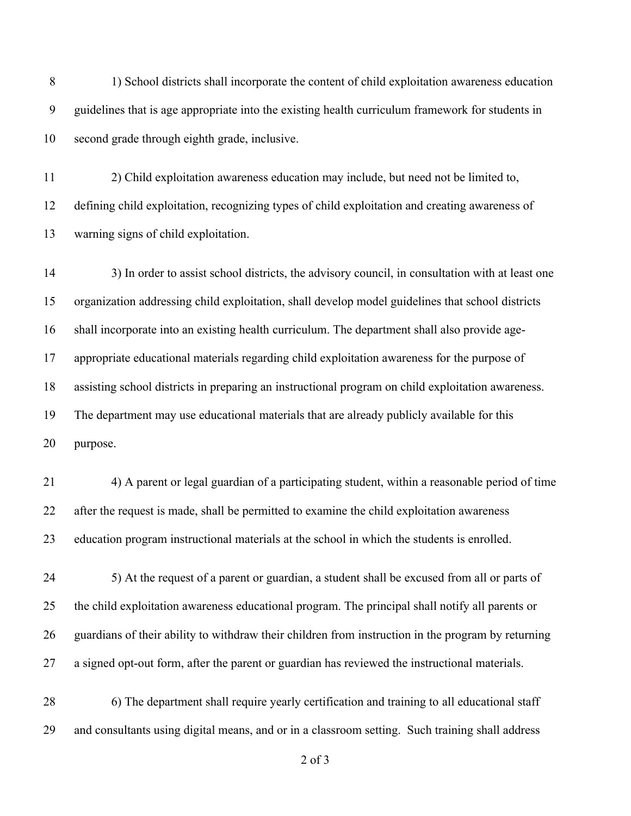8 1) School districts shall incorporate the content of child exploitation awareness education guidelines that is age appropriate into the existing health curriculum framework for students in second grade through eighth grade, inclusive.

 2) Child exploitation awareness education may include, but need not be limited to, defining child exploitation, recognizing types of child exploitation and creating awareness of warning signs of child exploitation.

 3) In order to assist school districts, the advisory council, in consultation with at least one organization addressing child exploitation, shall develop model guidelines that school districts shall incorporate into an existing health curriculum. The department shall also provide age- appropriate educational materials regarding child exploitation awareness for the purpose of assisting school districts in preparing an instructional program on child exploitation awareness. The department may use educational materials that are already publicly available for this purpose.

 4) A parent or legal guardian of a participating student, within a reasonable period of time after the request is made, shall be permitted to examine the child exploitation awareness education program instructional materials at the school in which the students is enrolled.

 5) At the request of a parent or guardian, a student shall be excused from all or parts of the child exploitation awareness educational program. The principal shall notify all parents or guardians of their ability to withdraw their children from instruction in the program by returning a signed opt-out form, after the parent or guardian has reviewed the instructional materials.

28 6) The department shall require yearly certification and training to all educational staff and consultants using digital means, and or in a classroom setting. Such training shall address

of 3